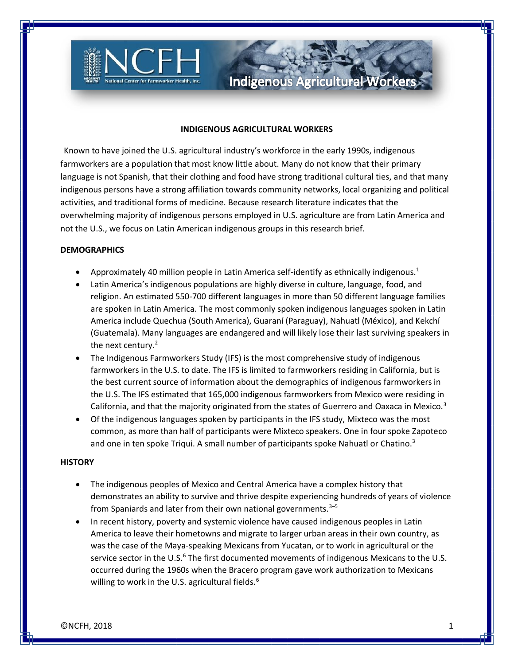

#### **INDIGENOUS AGRICULTURAL WORKERS**

**Indigenous Agricultural Workers** 

Known to have joined the U.S. agricultural industry's workforce in the early 1990s, indigenous farmworkers are a population that most know little about. Many do not know that their primary language is not Spanish, that their clothing and food have strong traditional cultural ties, and that many indigenous persons have a strong affiliation towards community networks, local organizing and political activities, and traditional forms of medicine. Because research literature indicates that the overwhelming majority of indigenous persons employed in U.S. agriculture are from Latin America and not the U.S., we focus on Latin American indigenous groups in this research brief.

## **DEMOGRAPHICS**

- Approximately 40 million people in Latin America self-identify as ethnically indigenous.<sup>1</sup>
- Latin America's indigenous populations are highly diverse in culture, language, food, and religion. An estimated 550-700 different languages in more than 50 different language families are spoken in Latin America. The most commonly spoken indigenous languages spoken in Latin America include Quechua (South America), Guaraní (Paraguay), Nahuatl (México), and Kekchí (Guatemala). Many languages are endangered and will likely lose their last surviving speakers in the next century.<sup>2</sup>
- The Indigenous Farmworkers Study (IFS) is the most comprehensive study of indigenous farmworkers in the U.S. to date. The IFS is limited to farmworkers residing in California, but is the best current source of information about the demographics of indigenous farmworkers in the U.S. The IFS estimated that 165,000 indigenous farmworkers from Mexico were residing in California, and that the majority originated from the states of Guerrero and Oaxaca in Mexico.<sup>3</sup>
- Of the indigenous languages spoken by participants in the IFS study, Mixteco was the most common, as more than half of participants were Mixteco speakers. One in four spoke Zapoteco and one in ten spoke Triqui. A small number of participants spoke Nahuatl or Chatino.<sup>3</sup>

## **HISTORY**

- The indigenous peoples of Mexico and Central America have a complex history that demonstrates an ability to survive and thrive despite experiencing hundreds of years of violence from Spaniards and later from their own national governments. $3-5$
- In recent history, poverty and systemic violence have caused indigenous peoples in Latin America to leave their hometowns and migrate to larger urban areas in their own country, as was the case of the Maya-speaking Mexicans from Yucatan, or to work in agricultural or the service sector in the U.S. $<sup>6</sup>$  The first documented movements of indigenous Mexicans to the U.S.</sup> occurred during the 1960s when the Bracero program gave work authorization to Mexicans willing to work in the U.S. agricultural fields. $6$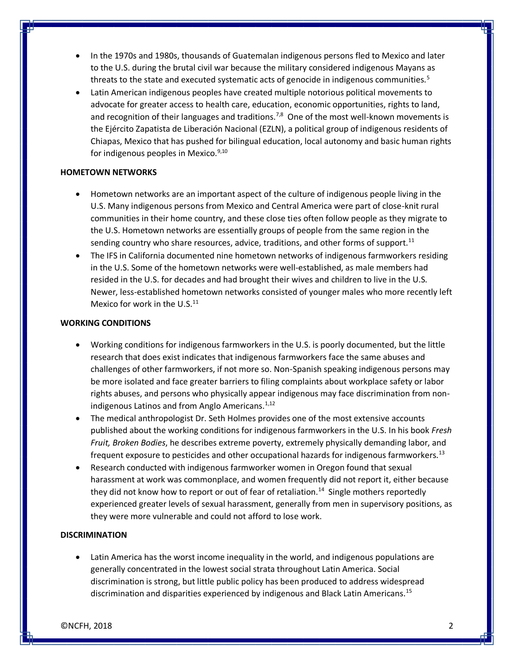- In the 1970s and 1980s, thousands of Guatemalan indigenous persons fled to Mexico and later to the U.S. during the brutal civil war because the military considered indigenous Mayans as threats to the state and executed systematic acts of genocide in indigenous communities.<sup>5</sup>
- Latin American indigenous peoples have created multiple notorious political movements to advocate for greater access to health care, education, economic opportunities, rights to land, and recognition of their languages and traditions.<sup>7,8</sup> One of the most well-known movements is the Ejército Zapatista de Liberación Nacional (EZLN), a political group of indigenous residents of Chiapas, Mexico that has pushed for bilingual education, local autonomy and basic human rights for indigenous peoples in Mexico. $9,10$

## **HOMETOWN NETWORKS**

- Hometown networks are an important aspect of the culture of indigenous people living in the U.S. Many indigenous persons from Mexico and Central America were part of close-knit rural communities in their home country, and these close ties often follow people as they migrate to the U.S. Hometown networks are essentially groups of people from the same region in the sending country who share resources, advice, traditions, and other forms of support.<sup>11</sup>
- The IFS in California documented nine hometown networks of indigenous farmworkers residing in the U.S. Some of the hometown networks were well-established, as male members had resided in the U.S. for decades and had brought their wives and children to live in the U.S. Newer, less-established hometown networks consisted of younger males who more recently left Mexico for work in the U.S. $<sup>11</sup>$ </sup>

# **WORKING CONDITIONS**

- Working conditions for indigenous farmworkers in the U.S. is poorly documented, but the little research that does exist indicates that indigenous farmworkers face the same abuses and challenges of other farmworkers, if not more so. Non-Spanish speaking indigenous persons may be more isolated and face greater barriers to filing complaints about workplace safety or labor rights abuses, and persons who physically appear indigenous may face discrimination from nonindigenous Latinos and from Anglo Americans.<sup>1,12</sup>
- The medical anthropologist Dr. Seth Holmes provides one of the most extensive accounts published about the working conditions for indigenous farmworkers in the U.S. In his book *Fresh Fruit, Broken Bodies*, he describes extreme poverty, extremely physically demanding labor, and frequent exposure to pesticides and other occupational hazards for indigenous farmworkers.<sup>13</sup>
- Research conducted with indigenous farmworker women in Oregon found that sexual harassment at work was commonplace, and women frequently did not report it, either because they did not know how to report or out of fear of retaliation.<sup>14</sup> Single mothers reportedly experienced greater levels of sexual harassment, generally from men in supervisory positions, as they were more vulnerable and could not afford to lose work.

# **DISCRIMINATION**

Latin America has the worst income inequality in the world, and indigenous populations are generally concentrated in the lowest social strata throughout Latin America. Social discrimination is strong, but little public policy has been produced to address widespread discrimination and disparities experienced by indigenous and Black Latin Americans.<sup>15</sup>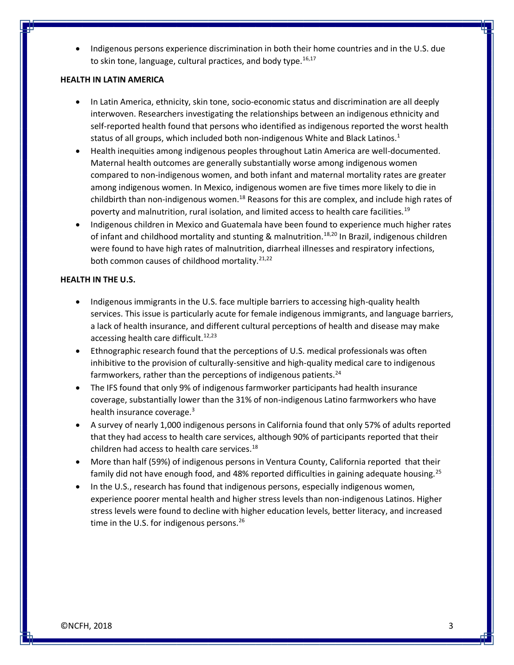• Indigenous persons experience discrimination in both their home countries and in the U.S. due to skin tone, language, cultural practices, and body type. $16,17$ 

## **HEALTH IN LATIN AMERICA**

- In Latin America, ethnicity, skin tone, socio-economic status and discrimination are all deeply interwoven. Researchers investigating the relationships between an indigenous ethnicity and self-reported health found that persons who identified as indigenous reported the worst health status of all groups, which included both non-indigenous White and Black Latinos.<sup>1</sup>
- Health inequities among indigenous peoples throughout Latin America are well-documented. Maternal health outcomes are generally substantially worse among indigenous women compared to non-indigenous women, and both infant and maternal mortality rates are greater among indigenous women. In Mexico, indigenous women are five times more likely to die in childbirth than non-indigenous women.<sup>18</sup> Reasons for this are complex, and include high rates of poverty and malnutrition, rural isolation, and limited access to health care facilities.<sup>19</sup>
- Indigenous children in Mexico and Guatemala have been found to experience much higher rates of infant and childhood mortality and stunting & malnutrition.<sup>18,20</sup> In Brazil, indigenous children were found to have high rates of malnutrition, diarrheal illnesses and respiratory infections, both common causes of childhood mortality.<sup>21,22</sup>

# **HEALTH IN THE U.S.**

- Indigenous immigrants in the U.S. face multiple barriers to accessing high-quality health services. This issue is particularly acute for female indigenous immigrants, and language barriers, a lack of health insurance, and different cultural perceptions of health and disease may make accessing health care difficult.<sup>12,23</sup>
- Ethnographic research found that the perceptions of U.S. medical professionals was often inhibitive to the provision of culturally-sensitive and high-quality medical care to indigenous farmworkers, rather than the perceptions of indigenous patients.<sup>24</sup>
- The IFS found that only 9% of indigenous farmworker participants had health insurance coverage, substantially lower than the 31% of non-indigenous Latino farmworkers who have health insurance coverage. $3$
- A survey of nearly 1,000 indigenous persons in California found that only 57% of adults reported that they had access to health care services, although 90% of participants reported that their children had access to health care services.<sup>18</sup>
- More than half (59%) of indigenous persons in Ventura County, California reported that their family did not have enough food, and 48% reported difficulties in gaining adequate housing.<sup>25</sup>
- In the U.S., research has found that indigenous persons, especially indigenous women, experience poorer mental health and higher stress levels than non-indigenous Latinos. Higher stress levels were found to decline with higher education levels, better literacy, and increased time in the U.S. for indigenous persons.  $26$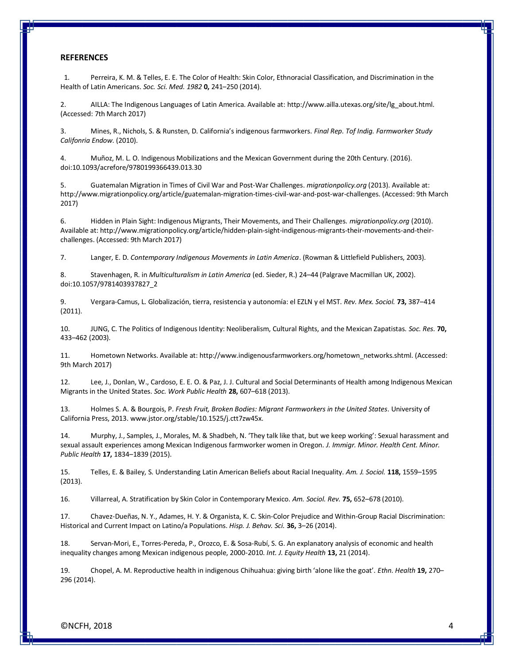#### **REFERENCES**

 1. Perreira, K. M. & Telles, E. E. The Color of Health: Skin Color, Ethnoracial Classification, and Discrimination in the Health of Latin Americans. *Soc. Sci. Med. 1982* **0,** 241–250 (2014).

2. AILLA: The Indigenous Languages of Latin America. Available at: http://www.ailla.utexas.org/site/lg\_about.html. (Accessed: 7th March 2017)

3. Mines, R., Nichols, S. & Runsten, D. California's indigenous farmworkers. *Final Rep. Tof Indig. Farmworker Study Califonria Endow.* (2010).

4. Muñoz, M. L. O. Indigenous Mobilizations and the Mexican Government during the 20th Century. (2016). doi:10.1093/acrefore/9780199366439.013.30

5. Guatemalan Migration in Times of Civil War and Post-War Challenges. *migrationpolicy.org* (2013). Available at: http://www.migrationpolicy.org/article/guatemalan-migration-times-civil-war-and-post-war-challenges. (Accessed: 9th March 2017)

6. Hidden in Plain Sight: Indigenous Migrants, Their Movements, and Their Challenges. *migrationpolicy.org* (2010). Available at: http://www.migrationpolicy.org/article/hidden-plain-sight-indigenous-migrants-their-movements-and-theirchallenges. (Accessed: 9th March 2017)

7. Langer, E. D. *Contemporary Indigenous Movements in Latin America*. (Rowman & Littlefield Publishers, 2003).

8. Stavenhagen, R. in *Multiculturalism in Latin America* (ed. Sieder, R.) 24–44 (Palgrave Macmillan UK, 2002). doi:10.1057/9781403937827\_2

9. Vergara-Camus, L. Globalización, tierra, resistencia y autonomía: el EZLN y el MST. *Rev. Mex. Sociol.* **73,** 387–414 (2011).

10. JUNG, C. The Politics of Indigenous Identity: Neoliberalism, Cultural Rights, and the Mexican Zapatistas. *Soc. Res.* **70,** 433–462 (2003).

11. Hometown Networks. Available at: http://www.indigenousfarmworkers.org/hometown\_networks.shtml. (Accessed: 9th March 2017)

12. Lee, J., Donlan, W., Cardoso, E. E. O. & Paz, J. J. Cultural and Social Determinants of Health among Indigenous Mexican Migrants in the United States. *Soc. Work Public Health* **28,** 607–618 (2013).

13. Holmes S. A. & Bourgois, P. *Fresh Fruit, Broken Bodies: Migrant Farmworkers in the United States*. University of California Press, 2013. www.jstor.org/stable/10.1525/j.ctt7zw45x.

14. Murphy, J., Samples, J., Morales, M. & Shadbeh, N. 'They talk like that, but we keep working': Sexual harassment and sexual assault experiences among Mexican Indigenous farmworker women in Oregon. *J. Immigr. Minor. Health Cent. Minor. Public Health* **17,** 1834–1839 (2015).

15. Telles, E. & Bailey, S. Understanding Latin American Beliefs about Racial Inequality. *Am. J. Sociol.* **118,** 1559–1595 (2013).

16. Villarreal, A. Stratification by Skin Color in Contemporary Mexico. *Am. Sociol. Rev.* **75,** 652–678 (2010).

17. Chavez-Dueñas, N. Y., Adames, H. Y. & Organista, K. C. Skin-Color Prejudice and Within-Group Racial Discrimination: Historical and Current Impact on Latino/a Populations. *Hisp. J. Behav. Sci.* **36,** 3–26 (2014).

18. Servan-Mori, E., Torres-Pereda, P., Orozco, E. & Sosa-Rubí, S. G. An explanatory analysis of economic and health inequality changes among Mexican indigenous people, 2000-2010. *Int. J. Equity Health* **13,** 21 (2014).

19. Chopel, A. M. Reproductive health in indigenous Chihuahua: giving birth 'alone like the goat'. *Ethn. Health* **19,** 270– 296 (2014).

©NCFH, 2018 4